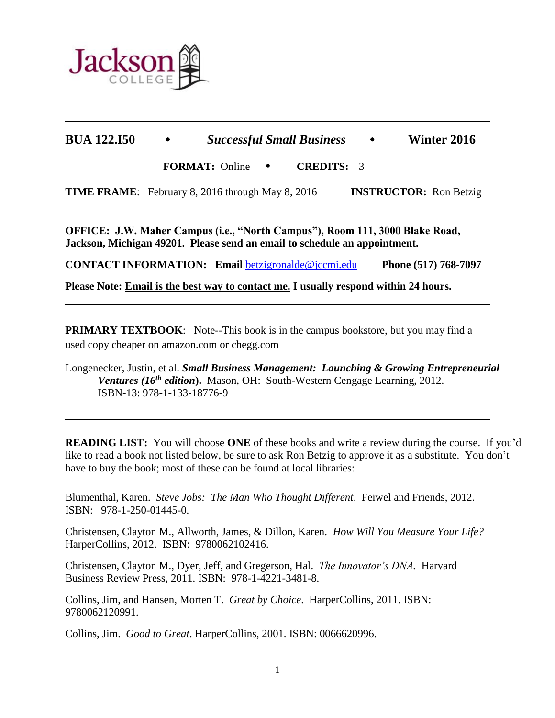

 $\overline{a}$ 

# **BUA 122.I50** • *Successful Small Business* • **Winter 2016**

**FORMAT:** Online• **CREDITS:** 3

**TIME FRAME**: February 8, 2016 through May 8, 2016 **INSTRUCTOR:** Ron Betzig

**OFFICE: J.W. Maher Campus (i.e., "North Campus"), Room 111, 3000 Blake Road, Jackson, Michigan 49201. Please send an email to schedule an appointment.** 

**CONTACT INFORMATION: Email** [betzigronalde@jccmi.edu](mailto:betzigronalde@jccmi.edu) **Phone (517) 768-7097**

**Please Note: Email is the best way to contact me. I usually respond within 24 hours.** 

**PRIMARY TEXTBOOK:** Note--This book is in the campus bookstore, but you may find a used copy cheaper on amazon.com or chegg.com

Longenecker, Justin, et al. *Small Business Management: Launching & Growing Entrepreneurial Ventures (16 th edition***).** Mason, OH: South-Western Cengage Learning, 2012. ISBN-13: 978-1-133-18776-9

**READING LIST:** You will choose **ONE** of these books and write a review during the course. If you'd like to read a book not listed below, be sure to ask Ron Betzig to approve it as a substitute. You don't have to buy the book; most of these can be found at local libraries:

Blumenthal, Karen. *Steve Jobs: The Man Who Thought Different*. Feiwel and Friends, 2012. ISBN: 978-1-250-01445-0.

Christensen, Clayton M., Allworth, James, & Dillon, Karen. *How Will You Measure Your Life?* HarperCollins, 2012. ISBN: 9780062102416.

Christensen, Clayton M., Dyer, Jeff, and Gregerson, Hal. *The Innovator's DNA.* Harvard Business Review Press, 2011. ISBN: 978-1-4221-3481-8.

Collins, Jim, and Hansen, Morten T. *Great by Choice*. HarperCollins, 2011. ISBN: 9780062120991.

Collins, Jim. *Good to Great*. HarperCollins, 2001. ISBN: 0066620996.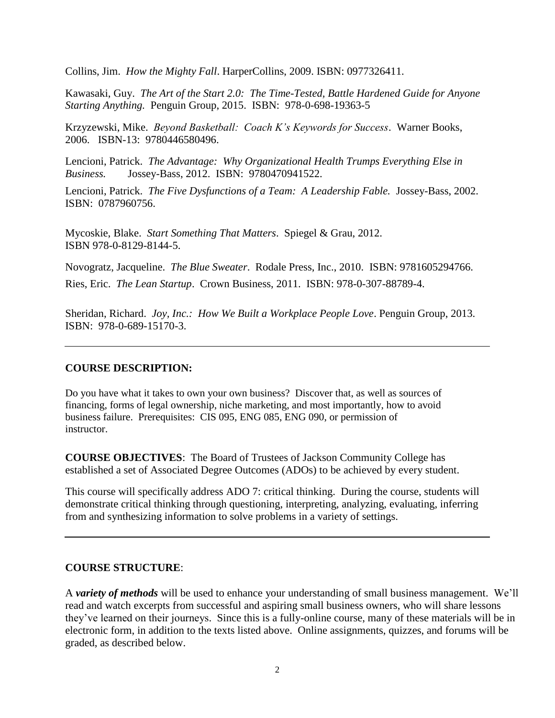Collins, Jim. *How the Mighty Fall*. HarperCollins, 2009. ISBN: 0977326411.

Kawasaki, Guy. *The Art of the Start 2.0: The Time-Tested, Battle Hardened Guide for Anyone Starting Anything.* Penguin Group, 2015. ISBN: 978-0-698-19363-5

Krzyzewski, Mike. *Beyond Basketball: Coach K's Keywords for Success*. Warner Books, 2006. ISBN-13: 9780446580496.

Lencioni, Patrick. *The Advantage: Why Organizational Health Trumps Everything Else in Business.* Jossey-Bass, 2012. ISBN: 9780470941522.

Lencioni, Patrick. *The Five Dysfunctions of a Team: A Leadership Fable.* Jossey-Bass, 2002. ISBN: 0787960756.

Mycoskie, Blake. *Start Something That Matters*. Spiegel & Grau, 2012. ISBN 978-0-8129-8144-5.

Novogratz, Jacqueline. *The Blue Sweater*. Rodale Press, Inc., 2010. ISBN: 9781605294766. Ries, Eric. *The Lean Startup*. Crown Business, 2011. ISBN: 978-0-307-88789-4.

Sheridan, Richard. *Joy, Inc.: How We Built a Workplace People Love*. Penguin Group, 2013. ISBN: 978-0-689-15170-3.

# **COURSE DESCRIPTION:**

Do you have what it takes to own your own business? Discover that, as well as sources of financing, forms of legal ownership, niche marketing, and most importantly, how to avoid business failure. Prerequisites: CIS 095, ENG 085, ENG 090, or permission of instructor.

**COURSE OBJECTIVES**: The Board of Trustees of Jackson Community College has established a set of Associated Degree Outcomes (ADOs) to be achieved by every student.

This course will specifically address ADO 7: critical thinking. During the course, students will demonstrate critical thinking through questioning, interpreting, analyzing, evaluating, inferring from and synthesizing information to solve problems in a variety of settings.

# **COURSE STRUCTURE**:

A *variety of methods* will be used to enhance your understanding of small business management. We'll read and watch excerpts from successful and aspiring small business owners, who will share lessons they've learned on their journeys. Since this is a fully-online course, many of these materials will be in electronic form, in addition to the texts listed above. Online assignments, quizzes, and forums will be graded, as described below.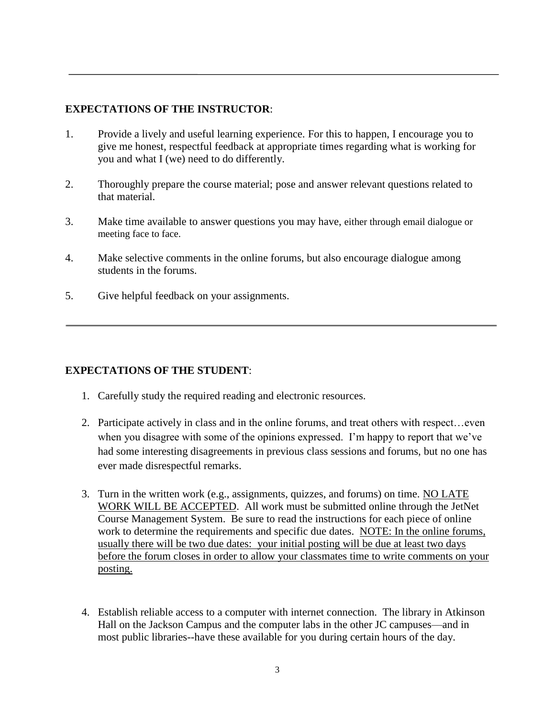# **EXPECTATIONS OF THE INSTRUCTOR**:

- 1. Provide a lively and useful learning experience. For this to happen, I encourage you to give me honest, respectful feedback at appropriate times regarding what is working for you and what I (we) need to do differently.
- 2. Thoroughly prepare the course material; pose and answer relevant questions related to that material.
- 3. Make time available to answer questions you may have, either through email dialogue or meeting face to face.
- 4. Make selective comments in the online forums, but also encourage dialogue among students in the forums.
- 5. Give helpful feedback on your assignments.

# **EXPECTATIONS OF THE STUDENT**:

- 1. Carefully study the required reading and electronic resources.
- 2. Participate actively in class and in the online forums, and treat others with respect... even when you disagree with some of the opinions expressed. I'm happy to report that we've had some interesting disagreements in previous class sessions and forums, but no one has ever made disrespectful remarks.
- 3. Turn in the written work (e.g., assignments, quizzes, and forums) on time. NO LATE WORK WILL BE ACCEPTED. All work must be submitted online through the JetNet Course Management System. Be sure to read the instructions for each piece of online work to determine the requirements and specific due dates. NOTE: In the online forums, usually there will be two due dates: your initial posting will be due at least two days before the forum closes in order to allow your classmates time to write comments on your posting.
- 4. Establish reliable access to a computer with internet connection. The library in Atkinson Hall on the Jackson Campus and the computer labs in the other JC campuses—and in most public libraries--have these available for you during certain hours of the day.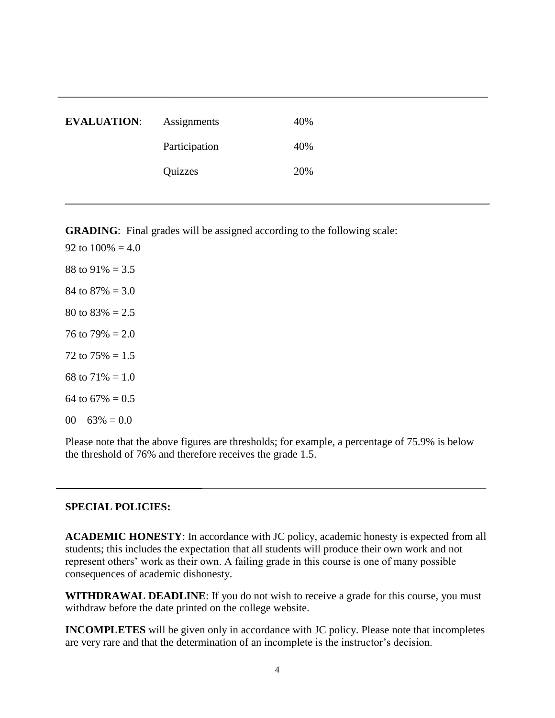| <b>EVALUATION:</b> | Assignments   | 40% |
|--------------------|---------------|-----|
|                    | Participation | 40% |
|                    | Quizzes       | 20% |

**GRADING**: Final grades will be assigned according to the following scale:

92 to  $100\% = 4.0$ 88 to  $91\% = 3.5$ 84 to  $87\% = 3.0$ 80 to  $83\% = 2.5$ 76 to  $79\% = 2.0$ 72 to  $75\% = 1.5$ 68 to  $71\% = 1.0$ 64 to  $67\% = 0.5$  $00 - 63\% = 0.0$ 

Please note that the above figures are thresholds; for example, a percentage of 75.9% is below the threshold of 76% and therefore receives the grade 1.5.

#### **SPECIAL POLICIES:**

**ACADEMIC HONESTY**: In accordance with JC policy, academic honesty is expected from all students; this includes the expectation that all students will produce their own work and not represent others' work as their own. A failing grade in this course is one of many possible consequences of academic dishonesty.

**WITHDRAWAL DEADLINE**: If you do not wish to receive a grade for this course, you must withdraw before the date printed on the college website.

**INCOMPLETES** will be given only in accordance with JC policy. Please note that incompletes are very rare and that the determination of an incomplete is the instructor's decision.